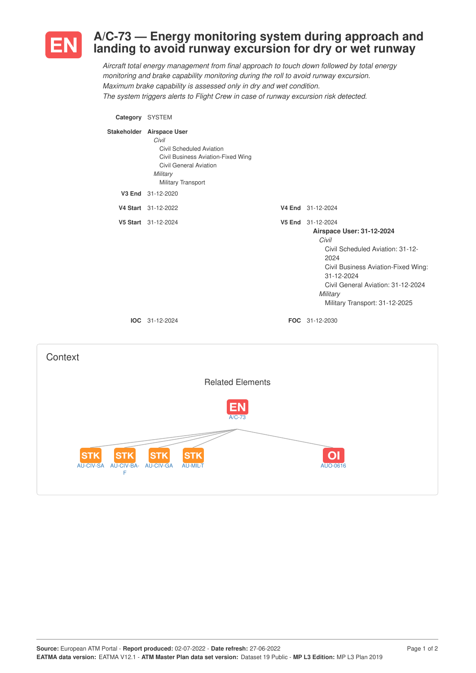

## **A/C-73 — Energy monitoring system during approach and landing to avoid runway excursion for dry or wet runway**

*Aircraft total energy management from final approach to touch down followed by total energy monitoring and brake capability monitoring during the roll to avoid runway excursion. Maximum brake capability is assessed only in dry and wet condition. The system triggers alerts to Flight Crew in case of runway excursion risk detected.*

**Category** SYSTEM

| Stakeholder Airspace User<br>Civil<br>Civil Scheduled Aviation<br>Civil Business Aviation-Fixed Wing<br>Civil General Aviation<br>Military<br>Military Transport |                                                                                                                                                                                                                                              |
|------------------------------------------------------------------------------------------------------------------------------------------------------------------|----------------------------------------------------------------------------------------------------------------------------------------------------------------------------------------------------------------------------------------------|
| V3 End 31-12-2020                                                                                                                                                |                                                                                                                                                                                                                                              |
| V4 Start 31-12-2022                                                                                                                                              | V4 End 31-12-2024                                                                                                                                                                                                                            |
| V5 Start 31-12-2024                                                                                                                                              | V5 End 31-12-2024<br>Airspace User: 31-12-2024<br>Civil<br>Civil Scheduled Aviation: 31-12-<br>2024<br>Civil Business Aviation-Fixed Wing:<br>31-12-2024<br>Civil General Aviation: 31-12-2024<br>Military<br>Military Transport: 31-12-2025 |
| IOC 31-12-2024                                                                                                                                                   | <b>FOC</b> 31-12-2030                                                                                                                                                                                                                        |